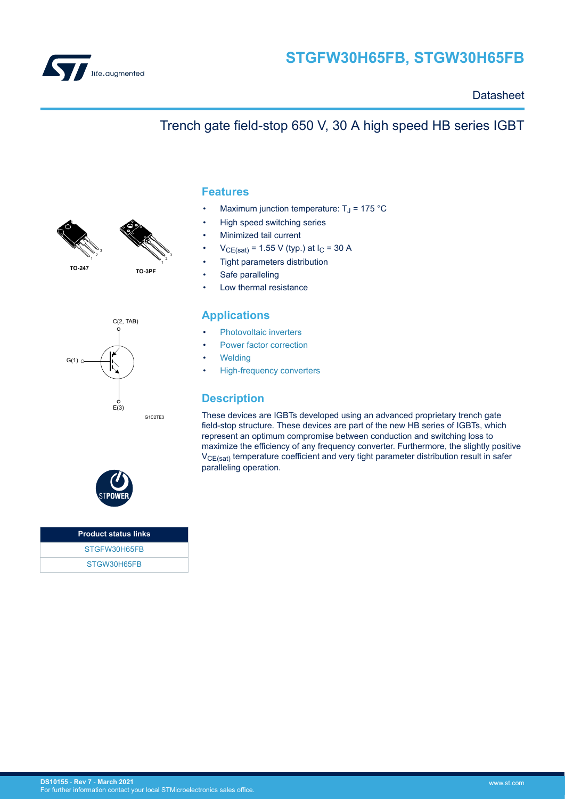

### **Datasheet**

### **1 TO-3PF TO-247** 1 2 3

1 2 3





Maximum junction temperature:  $T_J$  = 175 °C

Trench gate field-stop 650 V, 30 A high speed HB series IGBT

- High speed switching series
- Minimized tail current
- $V_{CE(sat)} = 1.55 V$  (typ.) at  $I_C = 30 A$
- Tight parameters distribution
- Safe paralleling
- Low thermal resistance

### **Applications**

- [Photovoltaic inverters](https://www.st.com/en/applications/energy-generation-and-distribution/solar-inverters-string-and-central.html?ecmp=tt9471_gl_link_feb2019&rt=ds&id=DS10155)
- [Power factor correction](https://www.st.com/en/applications/power-supplies-and-converters/pfc-converter-single-phase-input.html?ecmp=tt9471_gl_link_feb2019&rt=ds&id=DS10155)
- **[Welding](https://www.st.com/en/applications/industrial-power-and-tools/welding.html?ecmp=tt9471_gl_link_feb2019&rt=ds&id=DS10155)**
- [High-frequency converters](https://www.st.com/en/applications/power-supplies-and-converters/ac-dc-converters.html?ecmp=tt9471_gl_link_feb2019&rt=ds&id=DS10155)

### **Description**

These devices are IGBTs developed using an advanced proprietary trench gate field-stop structure. These devices are part of the new HB series of IGBTs, which represent an optimum compromise between conduction and switching loss to maximize the efficiency of any frequency converter. Furthermore, the slightly positive  $V_{CE(sat)}$  temperature coefficient and very tight parameter distribution result in safer paralleling operation.



| <b>Product status links</b> |  |
|-----------------------------|--|
| STGFW30H65FB                |  |
| STGW30H65FB                 |  |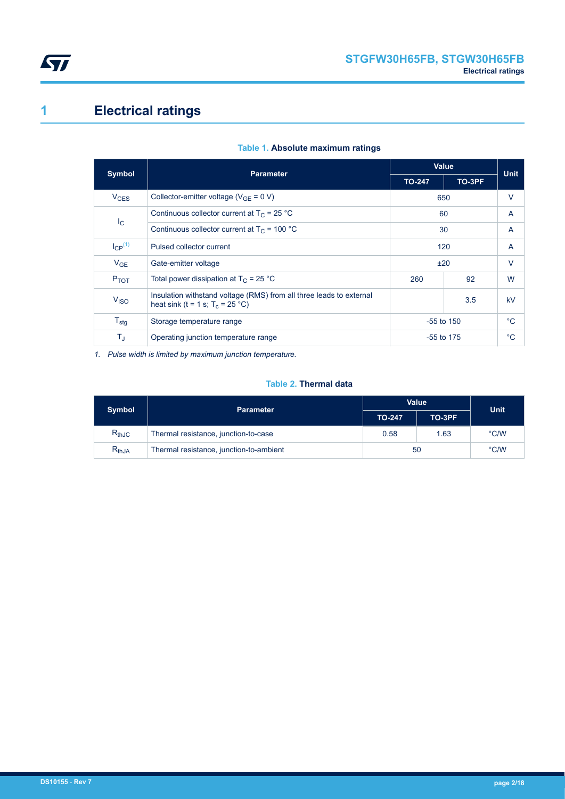<span id="page-1-0"></span>

# **1 Electrical ratings**

| <b>Symbol</b>    | <b>Parameter</b>                                                                                                 | <b>Value</b> |        | <b>Unit</b> |  |
|------------------|------------------------------------------------------------------------------------------------------------------|--------------|--------|-------------|--|
|                  |                                                                                                                  |              | TO-3PF |             |  |
| $V_{CES}$        | Collector-emitter voltage ( $V_{GE} = 0 V$ )                                                                     |              | 650    |             |  |
|                  | Continuous collector current at $T_C = 25 °C$                                                                    |              | 60     |             |  |
|                  | $I_{\rm C}$<br>Continuous collector current at $T_C = 100 °C$                                                    |              | 30     | A           |  |
| $I_{CP}^{(1)}$   | Pulsed collector current                                                                                         | 120          |        | A           |  |
| $V_{GE}$         | Gate-emitter voltage                                                                                             | ±20          |        | V           |  |
| P <sub>TOT</sub> | Total power dissipation at $T_C = 25 °C$                                                                         | 92<br>260    |        | W           |  |
| V <sub>ISO</sub> | Insulation withstand voltage (RMS) from all three leads to external<br>3.5<br>heat sink (t = 1 s; $T_c$ = 25 °C) |              |        | kV          |  |
| $T_{\text{stg}}$ | $-55$ to 150<br>Storage temperature range                                                                        |              | °C     |             |  |
| $T_{\sf J}$      | Operating junction temperature range                                                                             | $-55$ to 175 |        | $^{\circ}C$ |  |

### **Table 1. Absolute maximum ratings**

*1. Pulse width is limited by maximum junction temperature.*

### **Table 2. Thermal data**

| <b>Symbol</b> | <b>Parameter</b>                        | Value         | <b>Unit</b> |               |
|---------------|-----------------------------------------|---------------|-------------|---------------|
|               |                                         | <b>TO-247</b> | TO-3PF      |               |
| $R_{thJC}$    | Thermal resistance, junction-to-case    | 0.58<br>1.63  |             | $\degree$ C/W |
| $R_{thJA}$    | Thermal resistance, junction-to-ambient | 50            |             | $\degree$ C/W |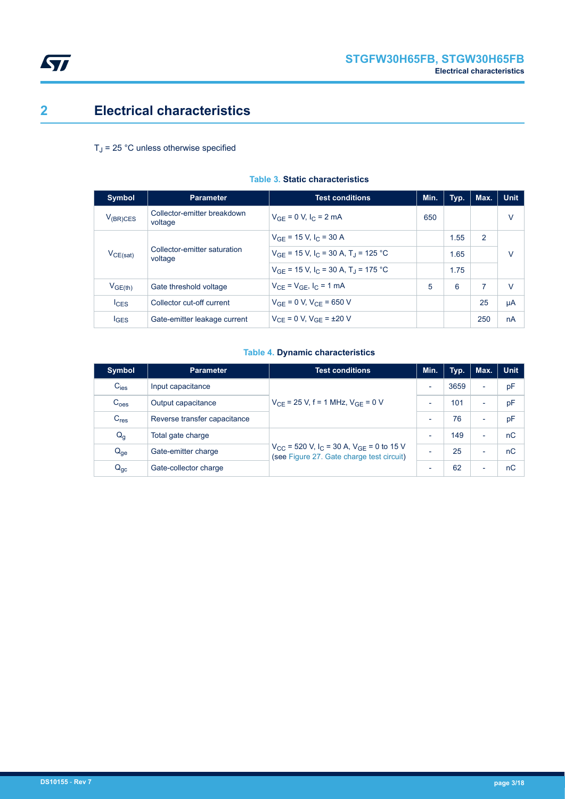

## <span id="page-2-0"></span>**2 Electrical characteristics**

### $T_J$  = 25 °C unless otherwise specified

| <b>Symbol</b>    | <b>Parameter</b>                        | <b>Test conditions</b>                                          | Min. | Typ. | Max. | <b>Unit</b> |
|------------------|-----------------------------------------|-----------------------------------------------------------------|------|------|------|-------------|
| $V_{(BR)CES}$    | Collector-emitter breakdown<br>voltage  | $V_{GF} = 0 V, I_C = 2 mA$                                      | 650  |      |      | v           |
| $V_{CE(sat)}$    |                                         | $V_{GF}$ = 15 V, I <sub>C</sub> = 30 A                          |      | 1.55 | 2    |             |
|                  | Collector-emitter saturation<br>voltage | $V_{GF}$ = 15 V, I <sub>C</sub> = 30 A, T <sub>J</sub> = 125 °C |      | 1.65 |      | V           |
|                  |                                         | $V_{GE}$ = 15 V, lc = 30 A, T <sub>1</sub> = 175 °C             |      | 1.75 |      |             |
| $V_{GE(th)}$     | Gate threshold voltage                  | $V_{CF} = V_{GF}$ , $I_C = 1$ mA                                | 5    | 6    | 7    | $\vee$      |
| $I_{CES}$        | Collector cut-off current               | $V_{GF} = 0 V, V_{CF} = 650 V$                                  |      |      | 25   | μA          |
| $I_{\text{GES}}$ | Gate-emitter leakage current            | $V_{CF} = 0 V$ , $V_{GF} = \pm 20 V$                            |      |      | 250  | nA          |

### **Table 3. Static characteristics**

### **Table 4. Dynamic characteristics**

| <b>Symbol</b>    | <b>Test conditions</b><br><b>Parameter</b> |                                                                                                                          | Min.                     | Typ. | Max.                     | <b>Unit</b> |
|------------------|--------------------------------------------|--------------------------------------------------------------------------------------------------------------------------|--------------------------|------|--------------------------|-------------|
| $C_{\text{ies}}$ | Input capacitance                          |                                                                                                                          | $\overline{\phantom{a}}$ | 3659 | ٠                        | рF          |
| C <sub>oes</sub> | Output capacitance                         | $V_{CE}$ = 25 V, f = 1 MHz, $V_{GF}$ = 0 V                                                                               | $\overline{\phantom{0}}$ | 101  | -                        | pF          |
| C <sub>res</sub> | Reverse transfer capacitance               |                                                                                                                          |                          | 76   | $\overline{\phantom{0}}$ | pF          |
| $Q_g$            | Total gate charge                          |                                                                                                                          | $\overline{\phantom{0}}$ | 149  | $\overline{\phantom{0}}$ | nC          |
| $Q_{ge}$         | Gate-emitter charge                        | $V_{\text{CC}}$ = 520 V, I <sub>C</sub> = 30 A, V <sub>GE</sub> = 0 to 15 V<br>(see Figure 27. Gate charge test circuit) | $\overline{\phantom{0}}$ | 25   | $\overline{\phantom{0}}$ | nC          |
| $Q_{gc}$         | Gate-collector charge                      |                                                                                                                          | ٠                        | 62   | $\overline{\phantom{0}}$ | nC          |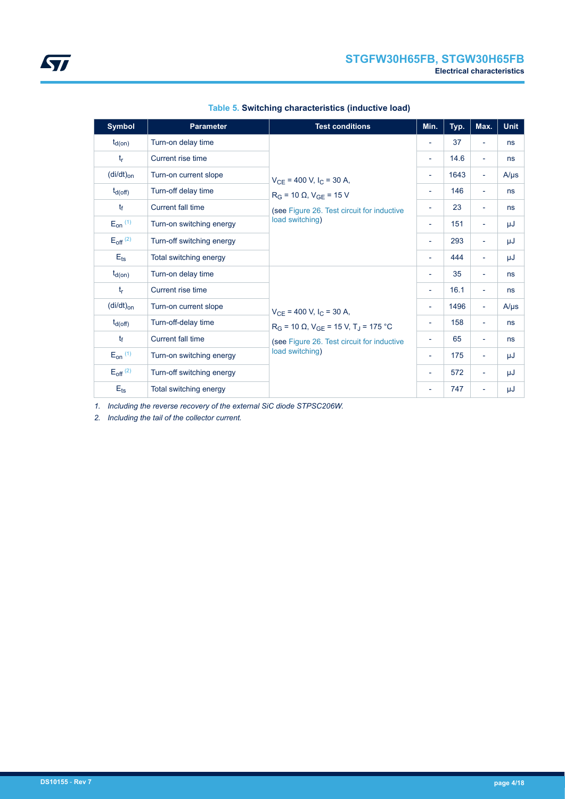| <b>Symbol</b>            | <b>Parameter</b>          | <b>Test conditions</b>                                                                                                                             | Min.                     | Typ. | Max.                     | <b>Unit</b> |
|--------------------------|---------------------------|----------------------------------------------------------------------------------------------------------------------------------------------------|--------------------------|------|--------------------------|-------------|
| $t_{d(on)}$              | Turn-on delay time        |                                                                                                                                                    | $\overline{\phantom{a}}$ | 37   | $\overline{\phantom{a}}$ | ns          |
| $t_{r}$                  | Current rise time         |                                                                                                                                                    | $\overline{\phantom{a}}$ | 14.6 | $\overline{\phantom{0}}$ | ns          |
| $(di/dt)_{on}$           | Turn-on current slope     | $V_{CE}$ = 400 V, I <sub>C</sub> = 30 A,<br>$R_G$ = 10 $\Omega$ , $V_{GE}$ = 15 V<br>(see Figure 26. Test circuit for inductive<br>load switching) | $\overline{\phantom{a}}$ | 1643 | $\blacksquare$           | $A/\mu s$   |
| $t_{d(off)}$             | Turn-off delay time       |                                                                                                                                                    | $\overline{\phantom{a}}$ | 146  | $\overline{\phantom{0}}$ | ns          |
| $t_{\rm f}$              | Current fall time         |                                                                                                                                                    | $\overline{\phantom{a}}$ | 23   | Ξ.                       | ns          |
| $E_{on}$ $(1)$           | Turn-on switching energy  |                                                                                                                                                    | $\overline{\phantom{a}}$ | 151  | $\overline{\phantom{a}}$ | μJ          |
| $E_{off}$ <sup>(2)</sup> | Turn-off switching energy |                                                                                                                                                    | $\overline{\phantom{a}}$ | 293  | Ξ.                       | μJ          |
| $E_{\text{ts}}$          | Total switching energy    |                                                                                                                                                    | $\overline{\phantom{a}}$ | 444  | Ξ.                       | μJ          |
| $t_{d(on)}$              | Turn-on delay time        |                                                                                                                                                    | $\overline{\phantom{a}}$ | 35   | $\overline{\phantom{a}}$ | ns          |
| $t_{r}$                  | Current rise time         |                                                                                                                                                    | $\overline{\phantom{a}}$ | 16.1 | $\overline{\phantom{0}}$ | ns          |
| $(dil/dt)_{on}$          | Turn-on current slope     | $V_{CE}$ = 400 V, I <sub>C</sub> = 30 A,                                                                                                           | $\overline{\phantom{a}}$ | 1496 | $\overline{\phantom{a}}$ | $A/\mu s$   |
| $t_{d(off)}$             | Turn-off-delay time       | $R_G$ = 10 $\Omega$ , $V_{GF}$ = 15 V, T <sub>J</sub> = 175 °C                                                                                     | $\overline{\phantom{a}}$ | 158  | $\overline{\phantom{a}}$ | ns          |
| $t_{\rm f}$              | <b>Current fall time</b>  | (see Figure 26. Test circuit for inductive<br>load switching)                                                                                      | $\overline{\phantom{a}}$ | 65   | $\overline{\phantom{a}}$ | ns          |
| $E_{on}$ (1)             | Turn-on switching energy  |                                                                                                                                                    | $\overline{\phantom{a}}$ | 175  | $\overline{\phantom{a}}$ | μJ          |
| $E_{off}$ <sup>(2)</sup> | Turn-off switching energy |                                                                                                                                                    |                          | 572  | $\overline{\phantom{a}}$ | μJ          |
| $E_{\text{ts}}$          | Total switching energy    |                                                                                                                                                    |                          | 747  | $\overline{\phantom{a}}$ | μJ          |

*1. Including the reverse recovery of the external SiC diode STPSC206W.*

*2. Including the tail of the collector current.*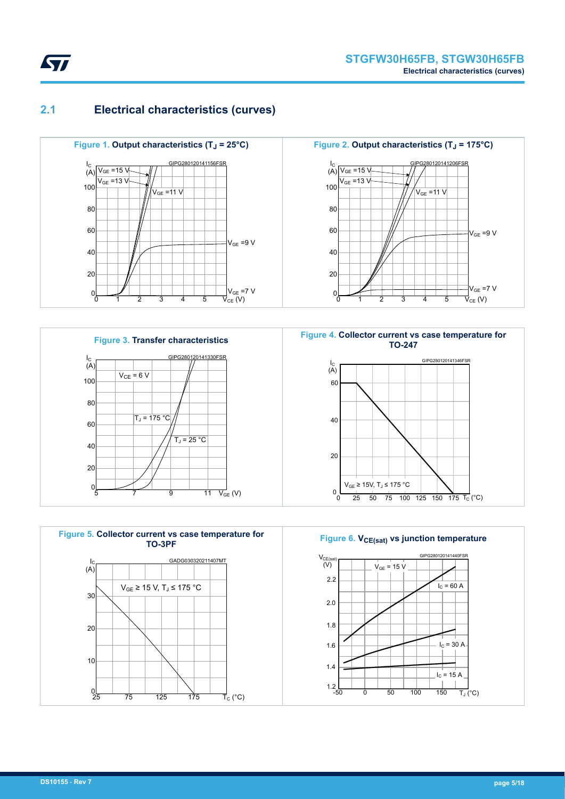<span id="page-4-0"></span>

### **2.1 Electrical characteristics (curves)**











**Figure 6. V<sub>CE(sat)</sub> vs junction temperature** 

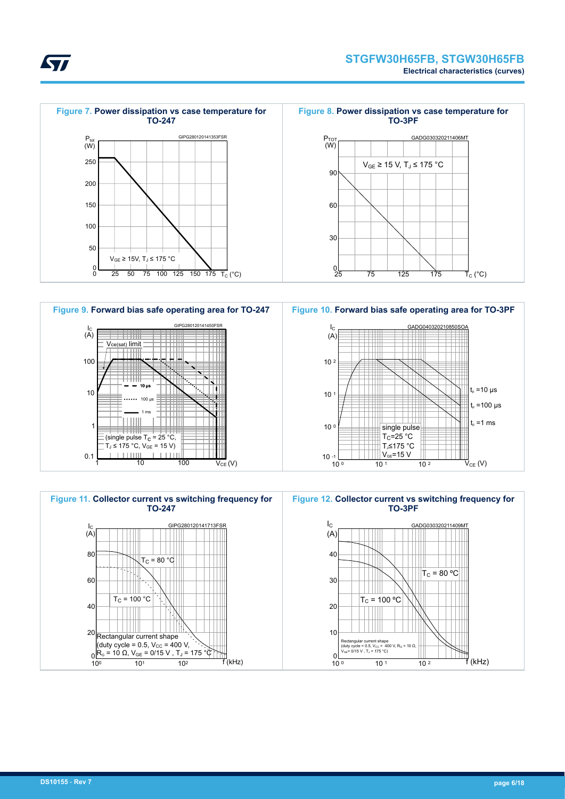





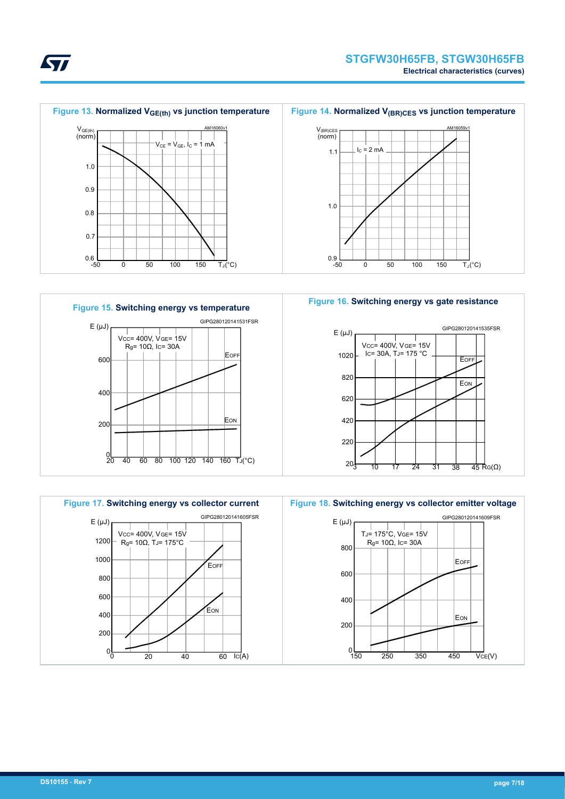







#### **Figure 16. Switching energy vs gate resistance**





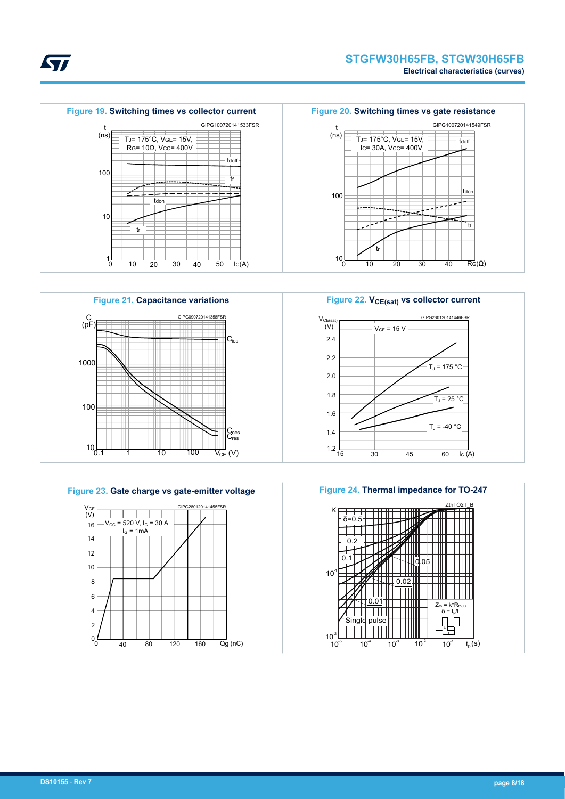tf

tdon

tdoff











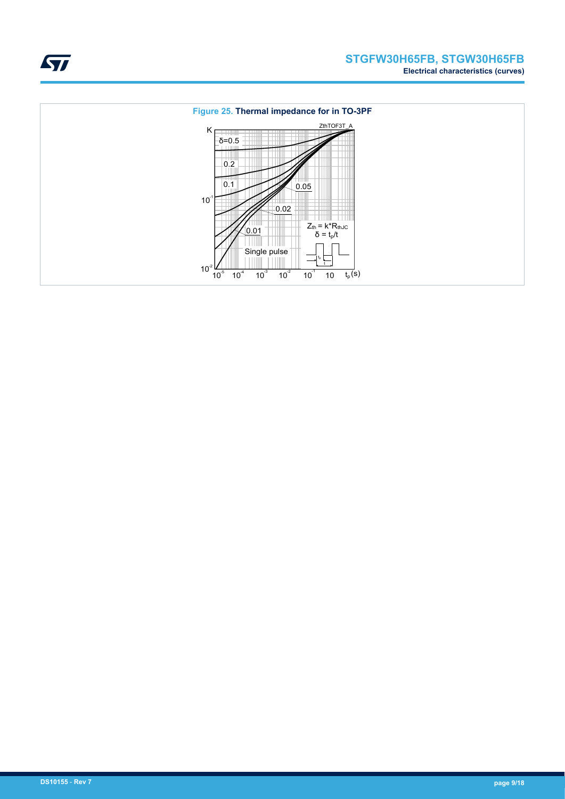

ST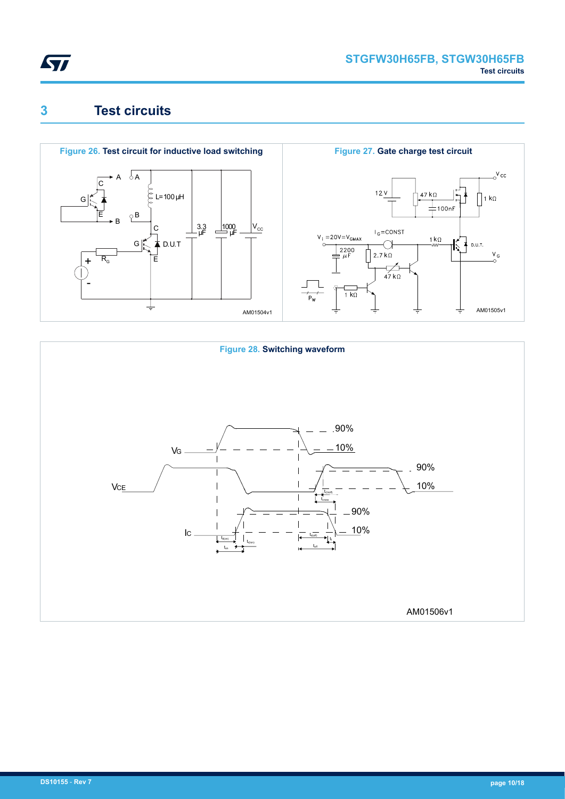<span id="page-9-0"></span>

## **3 Test circuits**



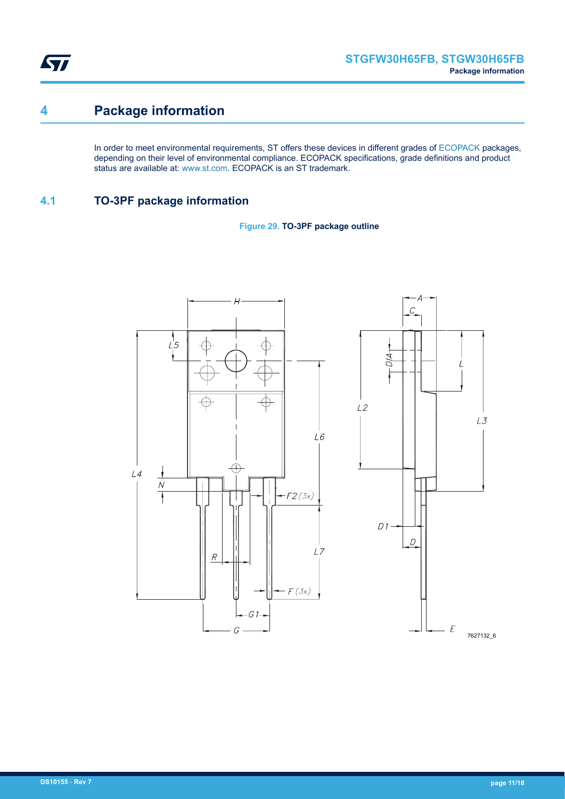<span id="page-10-0"></span>ST

## **4 Package information**

In order to meet environmental requirements, ST offers these devices in different grades of [ECOPACK](https://www.st.com/ecopack) packages, depending on their level of environmental compliance. ECOPACK specifications, grade definitions and product status are available at: [www.st.com.](http://www.st.com) ECOPACK is an ST trademark.

### **4.1 TO-3PF package information**



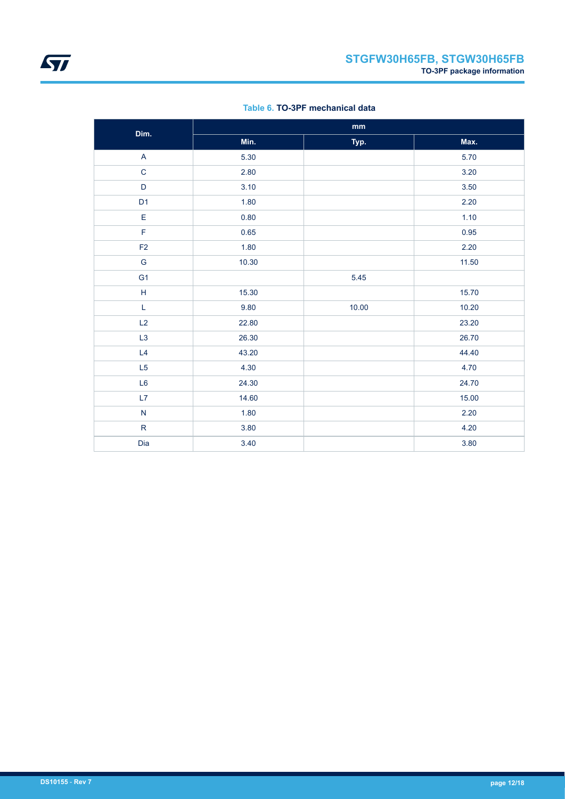| Dim.                      |       | $\mathop{\text{mm}}\nolimits$ |       |
|---------------------------|-------|-------------------------------|-------|
|                           | Min.  | Typ.                          | Max.  |
| $\boldsymbol{\mathsf{A}}$ | 5.30  |                               | 5.70  |
| $\mathsf C$               | 2.80  |                               | 3.20  |
| $\mathsf D$               | 3.10  |                               | 3.50  |
| D <sub>1</sub>            | 1.80  |                               | 2.20  |
| $\mathsf E$               | 0.80  |                               | 1.10  |
| F                         | 0.65  |                               | 0.95  |
| $\mathsf{F2}$             | 1.80  |                               | 2.20  |
| G                         | 10.30 |                               | 11.50 |
| G <sub>1</sub>            |       | 5.45                          |       |
| $\mathsf H$               | 15.30 |                               | 15.70 |
| L                         | 9.80  | 10.00                         | 10.20 |
| L2                        | 22.80 |                               | 23.20 |
| L <sub>3</sub>            | 26.30 |                               | 26.70 |
| L4                        | 43.20 |                               | 44.40 |
| L <sub>5</sub>            | 4.30  |                               | 4.70  |
| L <sub>6</sub>            | 24.30 |                               | 24.70 |
| L7                        | 14.60 |                               | 15.00 |
| ${\sf N}$                 | 1.80  |                               | 2.20  |
| $\mathsf{R}$              | 3.80  |                               | 4.20  |
| Dia                       | 3.40  |                               | 3.80  |

### **Table 6. TO-3PF mechanical data**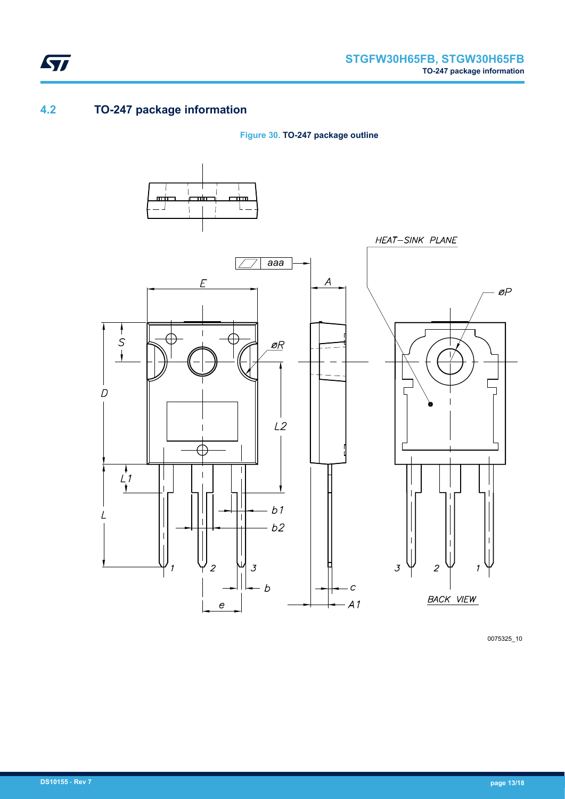

### **4.2 TO-247 package information**

<span id="page-12-0"></span>ST

**Figure 30. TO-247 package outline**



0075325\_10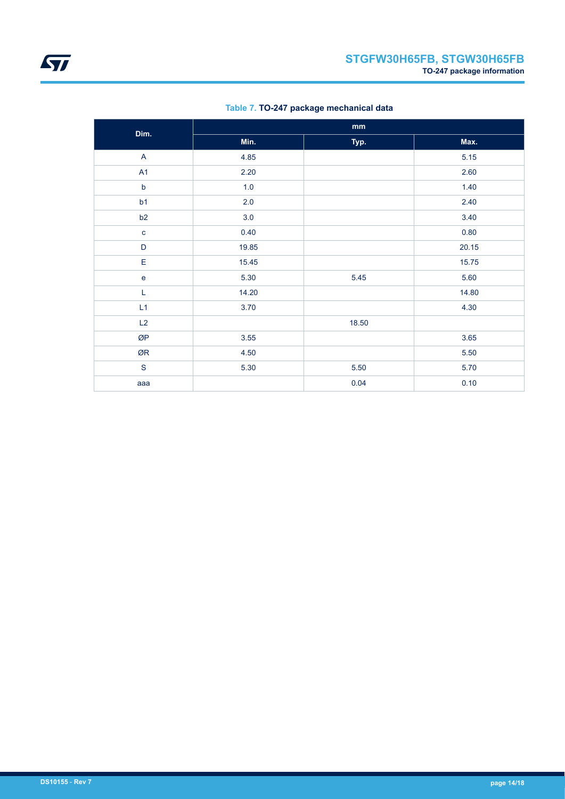| Dim.         |       | mm    |       |
|--------------|-------|-------|-------|
|              | Min.  | Typ.  | Max.  |
| $\mathsf{A}$ | 4.85  |       | 5.15  |
| A1           | 2.20  |       | 2.60  |
| $\mathsf b$  | 1.0   |       | 1.40  |
| b1           | 2.0   |       | 2.40  |
| b2           | 3.0   |       | 3.40  |
| $\mathbf c$  | 0.40  |       | 0.80  |
| D            | 19.85 |       | 20.15 |
| E            | 15.45 |       | 15.75 |
| $\mathbf e$  | 5.30  | 5.45  | 5.60  |
| L            | 14.20 |       | 14.80 |
| L1           | 3.70  |       | 4.30  |
| L2           |       | 18.50 |       |
| ØP           | 3.55  |       | 3.65  |
| ØR           | 4.50  |       | 5.50  |
| $\mathbf S$  | 5.30  | 5.50  | 5.70  |
| aaa          |       | 0.04  | 0.10  |

### **Table 7. TO-247 package mechanical data**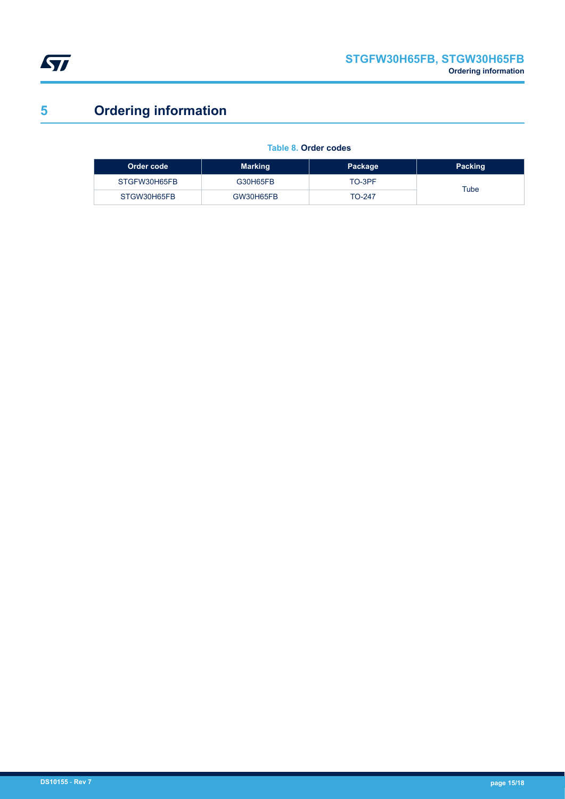<span id="page-14-0"></span>

# **5 Ordering information**

### **Table 8. Order codes**

| Order code   | <b>Marking</b> | Package | Packing |
|--------------|----------------|---------|---------|
| STGFW30H65FB | G30H65FB       | TO-3PF  | Tube    |
| STGW30H65FB  | GW30H65FB      | TO-247  |         |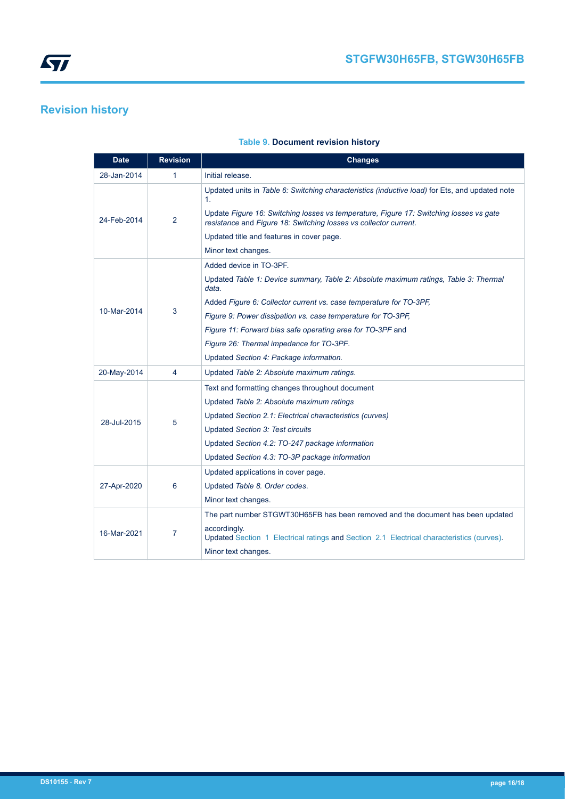## <span id="page-15-0"></span>**Revision history**

| <b>Date</b> | <b>Revision</b> | <b>Changes</b>                                                                                                                                                                                                                                                                                                  |
|-------------|-----------------|-----------------------------------------------------------------------------------------------------------------------------------------------------------------------------------------------------------------------------------------------------------------------------------------------------------------|
| 28-Jan-2014 | 1               | Initial release.                                                                                                                                                                                                                                                                                                |
| 24-Feb-2014 | 2               | Updated units in Table 6: Switching characteristics (inductive load) for Ets, and updated note<br>1.<br>Update Figure 16: Switching losses vs temperature, Figure 17: Switching losses vs gate<br>resistance and Figure 18: Switching losses vs collector current.<br>Updated title and features in cover page. |
|             |                 | Minor text changes.                                                                                                                                                                                                                                                                                             |
|             |                 | Added device in TO-3PF.<br>Updated Table 1: Device summary, Table 2: Absolute maximum ratings, Table 3: Thermal<br>data.                                                                                                                                                                                        |
| 10-Mar-2014 | 3               | Added Figure 6: Collector current vs. case temperature for TO-3PF,                                                                                                                                                                                                                                              |
|             |                 | Figure 9: Power dissipation vs. case temperature for TO-3PF,                                                                                                                                                                                                                                                    |
|             |                 | Figure 11: Forward bias safe operating area for TO-3PF and                                                                                                                                                                                                                                                      |
|             |                 | Figure 26: Thermal impedance for TO-3PF.                                                                                                                                                                                                                                                                        |
|             |                 | Updated Section 4: Package information.                                                                                                                                                                                                                                                                         |
| 20-May-2014 | 4               | Updated Table 2: Absolute maximum ratings.                                                                                                                                                                                                                                                                      |
|             |                 | Text and formatting changes throughout document                                                                                                                                                                                                                                                                 |
|             | 5               | Updated Table 2: Absolute maximum ratings                                                                                                                                                                                                                                                                       |
| 28-Jul-2015 |                 | Updated Section 2.1: Electrical characteristics (curves)                                                                                                                                                                                                                                                        |
|             |                 | <b>Updated Section 3: Test circuits</b>                                                                                                                                                                                                                                                                         |
|             |                 | Updated Section 4.2: TO-247 package information                                                                                                                                                                                                                                                                 |
|             |                 | Updated Section 4.3: TO-3P package information                                                                                                                                                                                                                                                                  |
|             |                 | Updated applications in cover page.                                                                                                                                                                                                                                                                             |
| 27-Apr-2020 | 6               | Updated Table 8. Order codes.                                                                                                                                                                                                                                                                                   |
|             |                 | Minor text changes.                                                                                                                                                                                                                                                                                             |
|             |                 | The part number STGWT30H65FB has been removed and the document has been updated                                                                                                                                                                                                                                 |
| 16-Mar-2021 | 7               | accordingly.<br>Updated Section 1 Electrical ratings and Section 2.1 Electrical characteristics (curves).                                                                                                                                                                                                       |
|             |                 | Minor text changes.                                                                                                                                                                                                                                                                                             |

### **Table 9. Document revision history**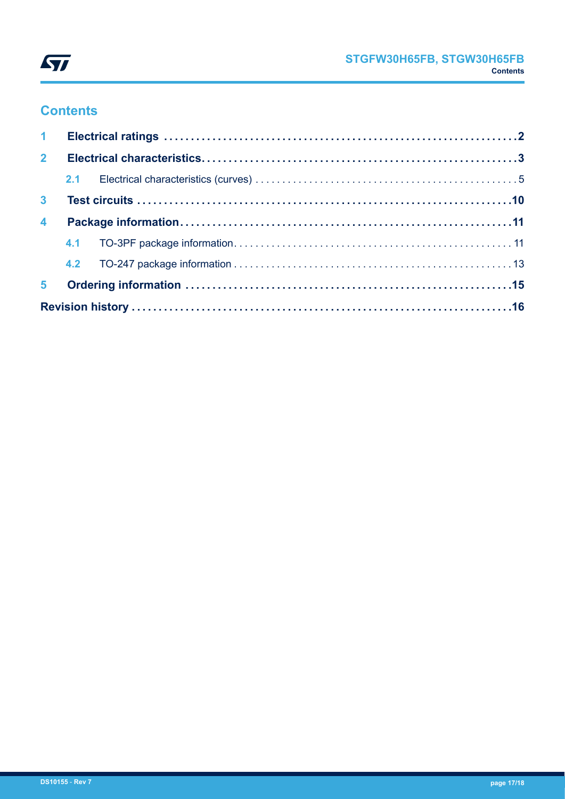

## **Contents**

| 2 <sup>7</sup>          |  |  |  |  |  |  |  |  |
|-------------------------|--|--|--|--|--|--|--|--|
|                         |  |  |  |  |  |  |  |  |
| 3 <sup>1</sup>          |  |  |  |  |  |  |  |  |
| $\overline{\mathbf{4}}$ |  |  |  |  |  |  |  |  |
|                         |  |  |  |  |  |  |  |  |
|                         |  |  |  |  |  |  |  |  |
| 5 <sup>1</sup>          |  |  |  |  |  |  |  |  |
|                         |  |  |  |  |  |  |  |  |